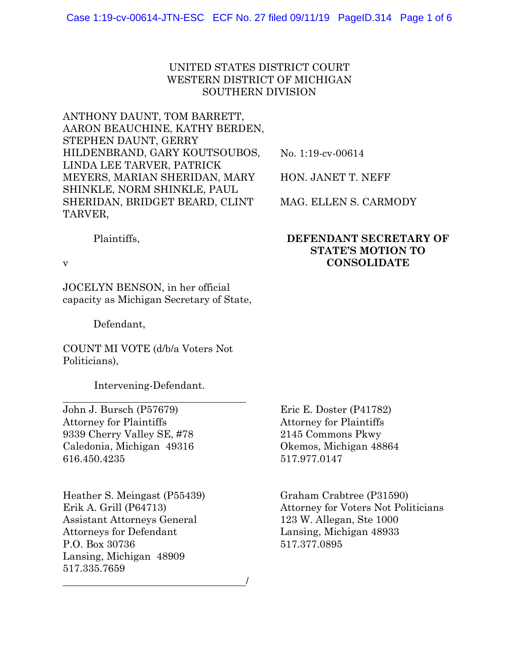#### UNITED STATES DISTRICT COURT WESTERN DISTRICT OF MICHIGAN SOUTHERN DIVISION

ANTHONY DAUNT, TOM BARRETT, AARON BEAUCHINE, KATHY BERDEN, STEPHEN DAUNT, GERRY HILDENBRAND, GARY KOUTSOUBOS, LINDA LEE TARVER, PATRICK MEYERS, MARIAN SHERIDAN, MARY SHINKLE, NORM SHINKLE, PAUL SHERIDAN, BRIDGET BEARD, CLINT TARVER,

No. 1:19-cv-00614

HON. JANET T. NEFF

MAG. ELLEN S. CARMODY

**DEFENDANT SECRETARY OF STATE'S MOTION TO CONSOLIDATE** 

#### Plaintiffs,

v

 $\overline{a}$ 

JOCELYN BENSON, in her official capacity as Michigan Secretary of State,

Defendant,

COUNT MI VOTE (d/b/a Voters Not Politicians),

Intervening-Defendant.

John J. Bursch (P57679) Attorney for Plaintiffs 9339 Cherry Valley SE, #78 Caledonia, Michigan 49316 616.450.4235

Heather S. Meingast (P55439) Erik A. Grill (P64713) Assistant Attorneys General Attorneys for Defendant P.O. Box 30736 Lansing, Michigan 48909 517.335.7659 <u>/</u> Eric E. Doster (P41782) Attorney for Plaintiffs 2145 Commons Pkwy Okemos, Michigan 48864 517.977.0147

Graham Crabtree (P31590) Attorney for Voters Not Politicians 123 W. Allegan, Ste 1000 Lansing, Michigan 48933 517.377.0895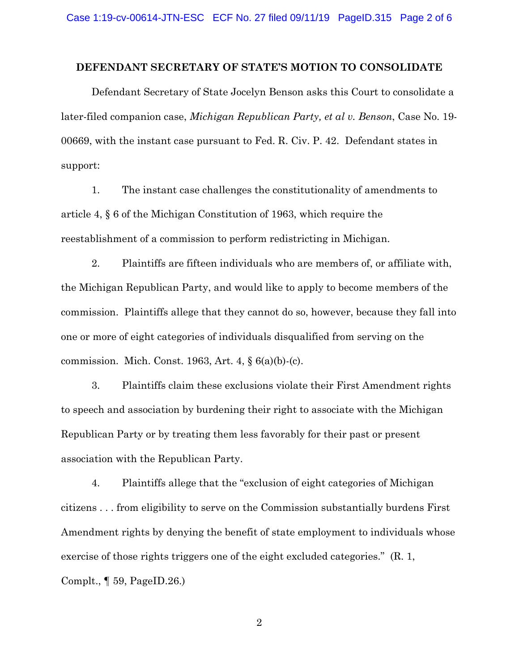#### **DEFENDANT SECRETARY OF STATE'S MOTION TO CONSOLIDATE**

Defendant Secretary of State Jocelyn Benson asks this Court to consolidate a later-filed companion case, *Michigan Republican Party, et al v. Benson*, Case No. 19- 00669, with the instant case pursuant to Fed. R. Civ. P. 42. Defendant states in support:

1. The instant case challenges the constitutionality of amendments to article 4, § 6 of the Michigan Constitution of 1963, which require the reestablishment of a commission to perform redistricting in Michigan.

2. Plaintiffs are fifteen individuals who are members of, or affiliate with, the Michigan Republican Party, and would like to apply to become members of the commission. Plaintiffs allege that they cannot do so, however, because they fall into one or more of eight categories of individuals disqualified from serving on the commission. Mich. Const. 1963, Art. 4, § 6(a)(b)-(c).

3. Plaintiffs claim these exclusions violate their First Amendment rights to speech and association by burdening their right to associate with the Michigan Republican Party or by treating them less favorably for their past or present association with the Republican Party.

4. Plaintiffs allege that the "exclusion of eight categories of Michigan citizens . . . from eligibility to serve on the Commission substantially burdens First Amendment rights by denying the benefit of state employment to individuals whose exercise of those rights triggers one of the eight excluded categories." (R. 1, Complt., ¶ 59, PageID.26.)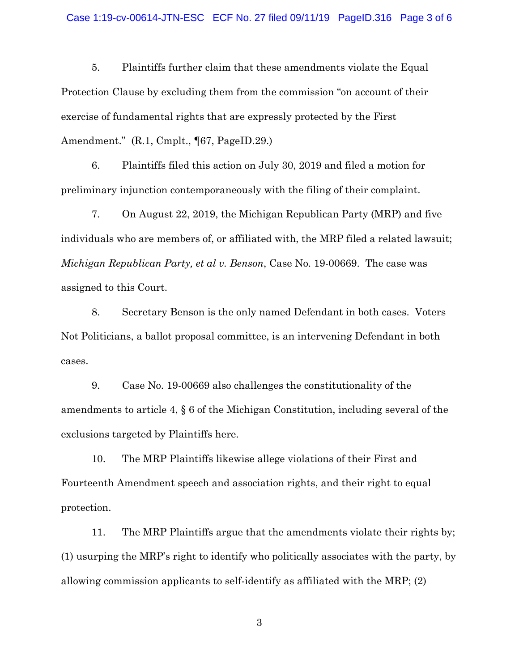#### Case 1:19-cv-00614-JTN-ESC ECF No. 27 filed 09/11/19 PageID.316 Page 3 of 6

5. Plaintiffs further claim that these amendments violate the Equal Protection Clause by excluding them from the commission "on account of their exercise of fundamental rights that are expressly protected by the First Amendment." (R.1, Cmplt., ¶67, PageID.29.)

6. Plaintiffs filed this action on July 30, 2019 and filed a motion for preliminary injunction contemporaneously with the filing of their complaint.

7. On August 22, 2019, the Michigan Republican Party (MRP) and five individuals who are members of, or affiliated with, the MRP filed a related lawsuit; *Michigan Republican Party, et al v. Benson*, Case No. 19-00669. The case was assigned to this Court.

8. Secretary Benson is the only named Defendant in both cases. Voters Not Politicians, a ballot proposal committee, is an intervening Defendant in both cases.

9. Case No. 19-00669 also challenges the constitutionality of the amendments to article 4, § 6 of the Michigan Constitution, including several of the exclusions targeted by Plaintiffs here.

10. The MRP Plaintiffs likewise allege violations of their First and Fourteenth Amendment speech and association rights, and their right to equal protection.

11. The MRP Plaintiffs argue that the amendments violate their rights by; (1) usurping the MRP's right to identify who politically associates with the party, by allowing commission applicants to self-identify as affiliated with the MRP; (2)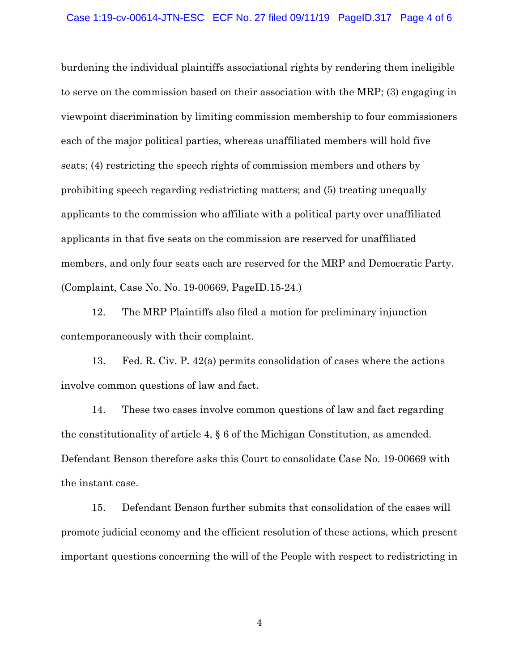#### Case 1:19-cv-00614-JTN-ESC ECF No. 27 filed 09/11/19 PageID.317 Page 4 of 6

burdening the individual plaintiffs associational rights by rendering them ineligible to serve on the commission based on their association with the MRP; (3) engaging in viewpoint discrimination by limiting commission membership to four commissioners each of the major political parties, whereas unaffiliated members will hold five seats; (4) restricting the speech rights of commission members and others by prohibiting speech regarding redistricting matters; and (5) treating unequally applicants to the commission who affiliate with a political party over unaffiliated applicants in that five seats on the commission are reserved for unaffiliated members, and only four seats each are reserved for the MRP and Democratic Party. (Complaint, Case No. No. 19-00669, PageID.15-24.)

12. The MRP Plaintiffs also filed a motion for preliminary injunction contemporaneously with their complaint.

13. Fed. R. Civ. P. 42(a) permits consolidation of cases where the actions involve common questions of law and fact.

14. These two cases involve common questions of law and fact regarding the constitutionality of article 4, § 6 of the Michigan Constitution, as amended. Defendant Benson therefore asks this Court to consolidate Case No. 19-00669 with the instant case.

15. Defendant Benson further submits that consolidation of the cases will promote judicial economy and the efficient resolution of these actions, which present important questions concerning the will of the People with respect to redistricting in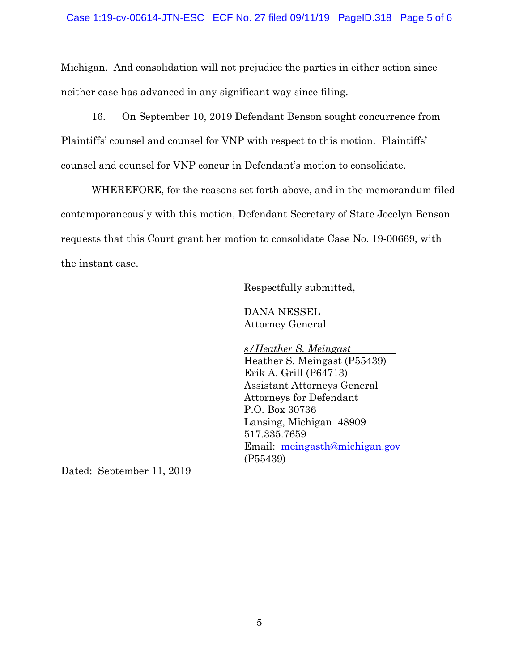#### Case 1:19-cv-00614-JTN-ESC ECF No. 27 filed 09/11/19 PageID.318 Page 5 of 6

Michigan. And consolidation will not prejudice the parties in either action since neither case has advanced in any significant way since filing.

16. On September 10, 2019 Defendant Benson sought concurrence from Plaintiffs' counsel and counsel for VNP with respect to this motion. Plaintiffs' counsel and counsel for VNP concur in Defendant's motion to consolidate.

WHEREFORE, for the reasons set forth above, and in the memorandum filed contemporaneously with this motion, Defendant Secretary of State Jocelyn Benson requests that this Court grant her motion to consolidate Case No. 19-00669, with the instant case.

Respectfully submitted,

 DANA NESSEL Attorney General

 *s/Heather S. Meingast*  Heather S. Meingast (P55439) Erik A. Grill (P64713) Assistant Attorneys General Attorneys for Defendant P.O. Box 30736 Lansing, Michigan 48909 517.335.7659 Email: meingasth@michigan.gov (P55439)

Dated: September 11, 2019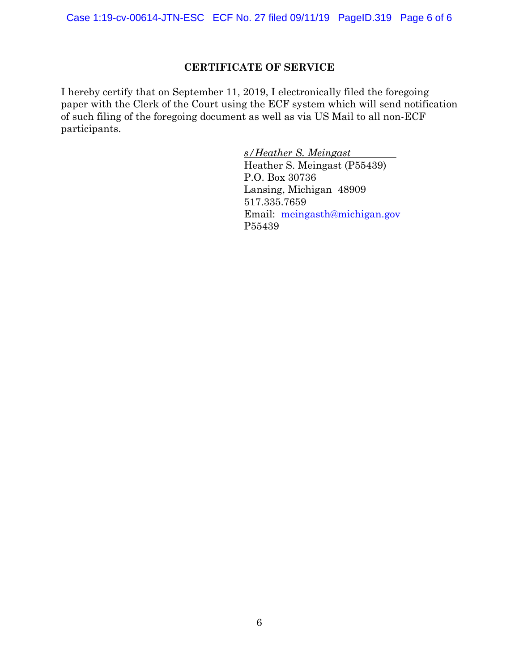Case 1:19-cv-00614-JTN-ESC ECF No. 27 filed 09/11/19 PageID.319 Page 6 of 6

#### **CERTIFICATE OF SERVICE**

I hereby certify that on September 11, 2019, I electronically filed the foregoing paper with the Clerk of the Court using the ECF system which will send notification of such filing of the foregoing document as well as via US Mail to all non-ECF participants.

> *s/Heather S. Meingast*  Heather S. Meingast (P55439) P.O. Box 30736 Lansing, Michigan 48909 517.335.7659 Email: meingasth@michigan.gov P55439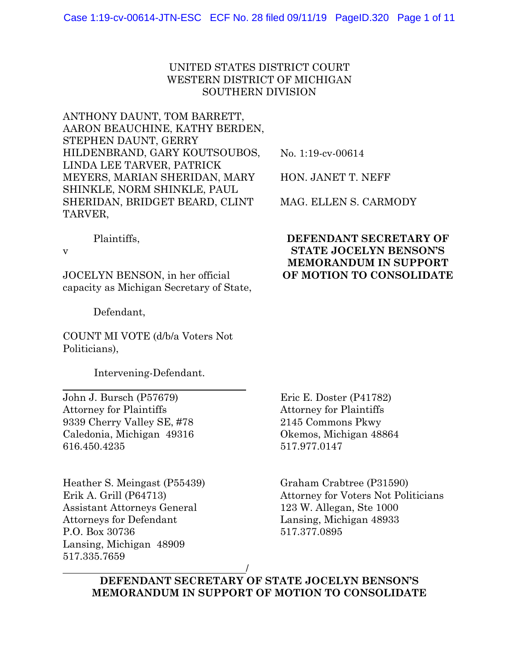#### UNITED STATES DISTRICT COURT WESTERN DISTRICT OF MICHIGAN SOUTHERN DIVISION

ANTHONY DAUNT, TOM BARRETT, AARON BEAUCHINE, KATHY BERDEN, STEPHEN DAUNT, GERRY HILDENBRAND, GARY KOUTSOUBOS, LINDA LEE TARVER, PATRICK MEYERS, MARIAN SHERIDAN, MARY SHINKLE, NORM SHINKLE, PAUL SHERIDAN, BRIDGET BEARD, CLINT TARVER,

No. 1:19-cv-00614

HON. JANET T. NEFF

MAG. ELLEN S. CARMODY

#### Plaintiffs,

v

 $\overline{a}$ 

JOCELYN BENSON, in her official capacity as Michigan Secretary of State,

Defendant,

COUNT MI VOTE (d/b/a Voters Not Politicians),

Intervening-Defendant.

John J. Bursch (P57679) Attorney for Plaintiffs 9339 Cherry Valley SE, #78 Caledonia, Michigan 49316 616.450.4235

Heather S. Meingast (P55439) Erik A. Grill (P64713) Assistant Attorneys General Attorneys for Defendant P.O. Box 30736 Lansing, Michigan 48909 517.335.7659

#### **DEFENDANT SECRETARY OF STATE JOCELYN BENSON'S MEMORANDUM IN SUPPORT OF MOTION TO CONSOLIDATE**

Eric E. Doster (P41782) Attorney for Plaintiffs 2145 Commons Pkwy Okemos, Michigan 48864 517.977.0147

Graham Crabtree (P31590) Attorney for Voters Not Politicians 123 W. Allegan, Ste 1000 Lansing, Michigan 48933 517.377.0895

<u>/</u> **DEFENDANT SECRETARY OF STATE JOCELYN BENSON'S MEMORANDUM IN SUPPORT OF MOTION TO CONSOLIDATE**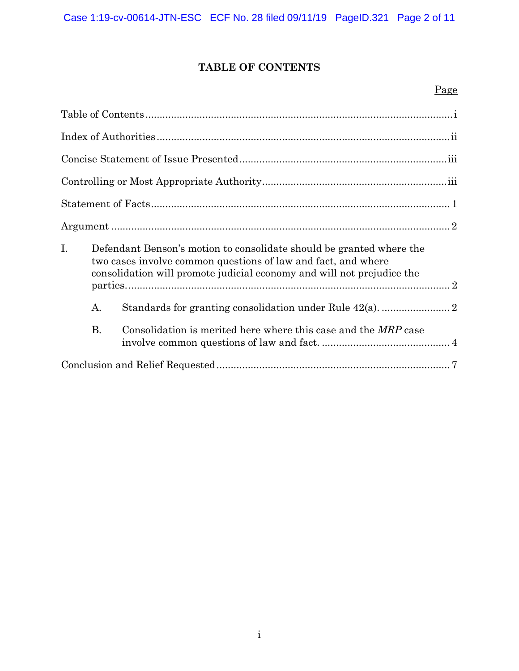# **TABLE OF CONTENTS**

# Page

| Ι.        | Defendant Benson's motion to consolidate should be granted where the<br>two cases involve common questions of law and fact, and where<br>consolidation will promote judicial economy and will not prejudice the |  |
|-----------|-----------------------------------------------------------------------------------------------------------------------------------------------------------------------------------------------------------------|--|
| A.        |                                                                                                                                                                                                                 |  |
| <b>B.</b> | Consolidation is merited here where this case and the <i>MRP</i> case                                                                                                                                           |  |
|           |                                                                                                                                                                                                                 |  |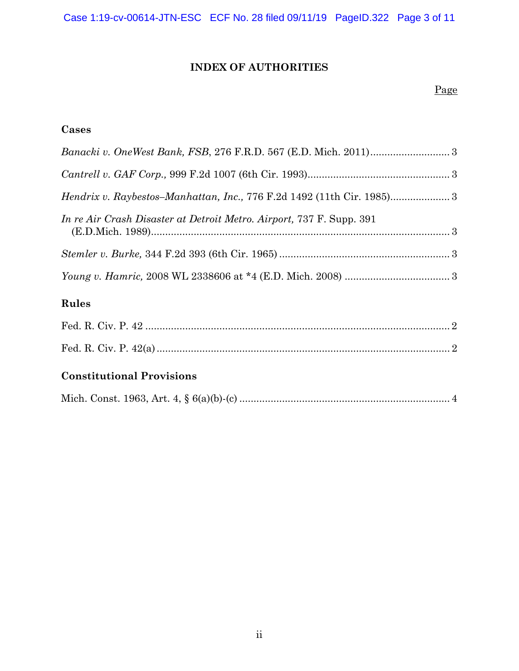Case 1:19-cv-00614-JTN-ESC ECF No. 28 filed 09/11/19 PageID.322 Page 3 of 11

# **INDEX OF AUTHORITIES**

#### Page

# **Cases**

| <i>Hendrix v. Raybestos–Manhattan, Inc., 776 F.2d 1492 (11th Cir. 1985)</i> 3 |  |
|-------------------------------------------------------------------------------|--|
| In re Air Crash Disaster at Detroit Metro. Airport, 737 F. Supp. 391          |  |
|                                                                               |  |
|                                                                               |  |
| Rules                                                                         |  |

# Fed. R. Civ. P. 42 ........................................................................................................... 2 Fed. R. Civ. P. 42(a) ....................................................................................................... 2

# **Constitutional Provisions**

|--|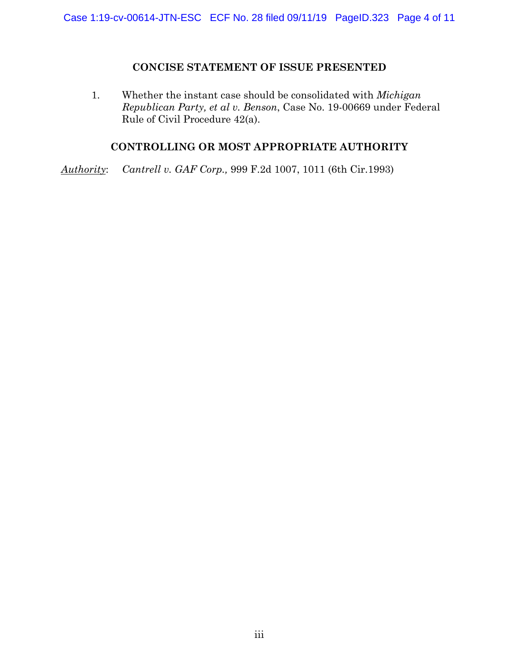#### **CONCISE STATEMENT OF ISSUE PRESENTED**

1. Whether the instant case should be consolidated with *Michigan Republican Party, et al v. Benson*, Case No. 19-00669 under Federal Rule of Civil Procedure 42(a).

# **CONTROLLING OR MOST APPROPRIATE AUTHORITY**

*Authority*: *Cantrell v. GAF Corp.,* 999 F.2d 1007, 1011 (6th Cir.1993)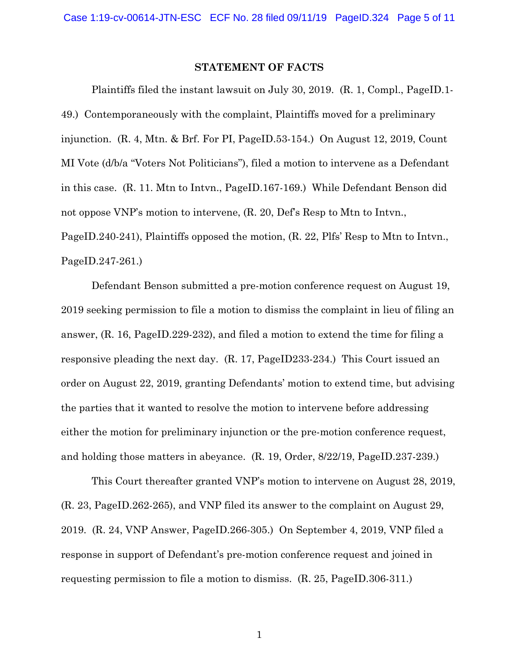#### **STATEMENT OF FACTS**

Plaintiffs filed the instant lawsuit on July 30, 2019. (R. 1, Compl., PageID.1- 49.) Contemporaneously with the complaint, Plaintiffs moved for a preliminary injunction. (R. 4, Mtn. & Brf. For PI, PageID.53-154.) On August 12, 2019, Count MI Vote (d/b/a "Voters Not Politicians"), filed a motion to intervene as a Defendant in this case. (R. 11. Mtn to Intvn., PageID.167-169.) While Defendant Benson did not oppose VNP's motion to intervene, (R. 20, Def's Resp to Mtn to Intvn., PageID.240-241), Plaintiffs opposed the motion, (R. 22, Plfs' Resp to Mtn to Intvn., PageID.247-261.)

Defendant Benson submitted a pre-motion conference request on August 19, 2019 seeking permission to file a motion to dismiss the complaint in lieu of filing an answer, (R. 16, PageID.229-232), and filed a motion to extend the time for filing a responsive pleading the next day. (R. 17, PageID233-234.) This Court issued an order on August 22, 2019, granting Defendants' motion to extend time, but advising the parties that it wanted to resolve the motion to intervene before addressing either the motion for preliminary injunction or the pre-motion conference request, and holding those matters in abeyance. (R. 19, Order, 8/22/19, PageID.237-239.)

This Court thereafter granted VNP's motion to intervene on August 28, 2019, (R. 23, PageID.262-265), and VNP filed its answer to the complaint on August 29, 2019. (R. 24, VNP Answer, PageID.266-305.) On September 4, 2019, VNP filed a response in support of Defendant's pre-motion conference request and joined in requesting permission to file a motion to dismiss. (R. 25, PageID.306-311.)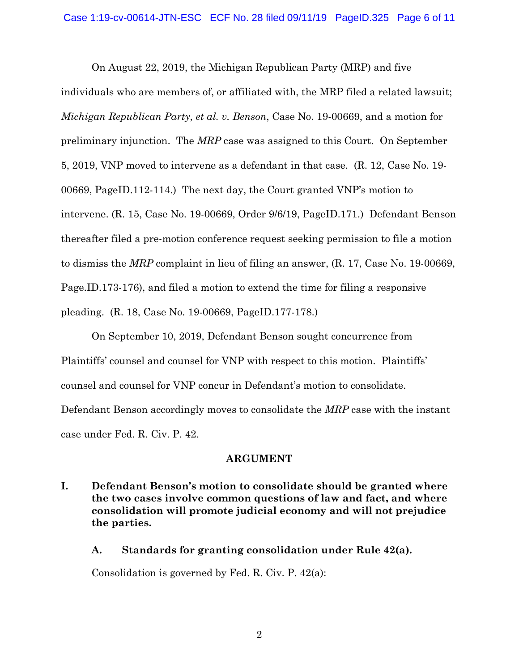On August 22, 2019, the Michigan Republican Party (MRP) and five

individuals who are members of, or affiliated with, the MRP filed a related lawsuit; *Michigan Republican Party, et al. v. Benson*, Case No. 19-00669, and a motion for preliminary injunction. The *MRP* case was assigned to this Court. On September 5, 2019, VNP moved to intervene as a defendant in that case. (R. 12, Case No. 19- 00669, PageID.112-114.) The next day, the Court granted VNP's motion to intervene. (R. 15, Case No. 19-00669, Order 9/6/19, PageID.171.) Defendant Benson thereafter filed a pre-motion conference request seeking permission to file a motion to dismiss the *MRP* complaint in lieu of filing an answer, (R. 17, Case No. 19-00669, Page.ID.173-176), and filed a motion to extend the time for filing a responsive pleading. (R. 18, Case No. 19-00669, PageID.177-178.)

On September 10, 2019, Defendant Benson sought concurrence from Plaintiffs' counsel and counsel for VNP with respect to this motion. Plaintiffs' counsel and counsel for VNP concur in Defendant's motion to consolidate. Defendant Benson accordingly moves to consolidate the *MRP* case with the instant case under Fed. R. Civ. P. 42.

#### **ARGUMENT**

- **I. Defendant Benson's motion to consolidate should be granted where the two cases involve common questions of law and fact, and where consolidation will promote judicial economy and will not prejudice the parties.** 
	- **A. Standards for granting consolidation under Rule 42(a).**

Consolidation is governed by Fed. R. Civ. P. 42(a):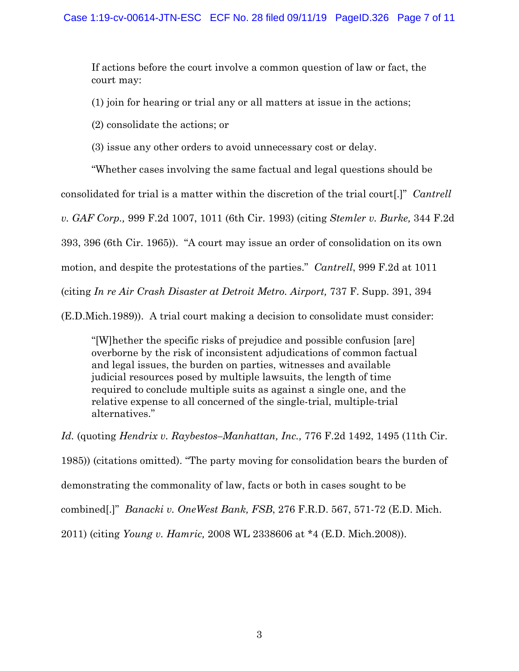If actions before the court involve a common question of law or fact, the court may:

(1) join for hearing or trial any or all matters at issue in the actions;

(2) consolidate the actions; or

(3) issue any other orders to avoid unnecessary cost or delay.

"Whether cases involving the same factual and legal questions should be consolidated for trial is a matter within the discretion of the trial court[.]" *Cantrell v. GAF Corp.,* 999 F.2d 1007, 1011 (6th Cir. 1993) (citing *Stemler v. Burke,* 344 F.2d 393, 396 (6th Cir. 1965)). "A court may issue an order of consolidation on its own motion, and despite the protestations of the parties." *Cantrell*, 999 F.2d at 1011 (citing *In re Air Crash Disaster at Detroit Metro. Airport,* 737 F. Supp. 391, 394

(E.D.Mich.1989)). A trial court making a decision to consolidate must consider:

"[W]hether the specific risks of prejudice and possible confusion [are] overborne by the risk of inconsistent adjudications of common factual and legal issues, the burden on parties, witnesses and available judicial resources posed by multiple lawsuits, the length of time required to conclude multiple suits as against a single one, and the relative expense to all concerned of the single-trial, multiple-trial alternatives."

*Id.* (quoting *Hendrix v. Raybestos–Manhattan, Inc.,* 776 F.2d 1492, 1495 (11th Cir. 1985)) (citations omitted). "The party moving for consolidation bears the burden of demonstrating the commonality of law, facts or both in cases sought to be combined[.]" *Banacki v. OneWest Bank, FSB*, 276 F.R.D. 567, 571-72 (E.D. Mich. 2011) (citing *Young v. Hamric,* 2008 WL 2338606 at \*4 (E.D. Mich.2008)).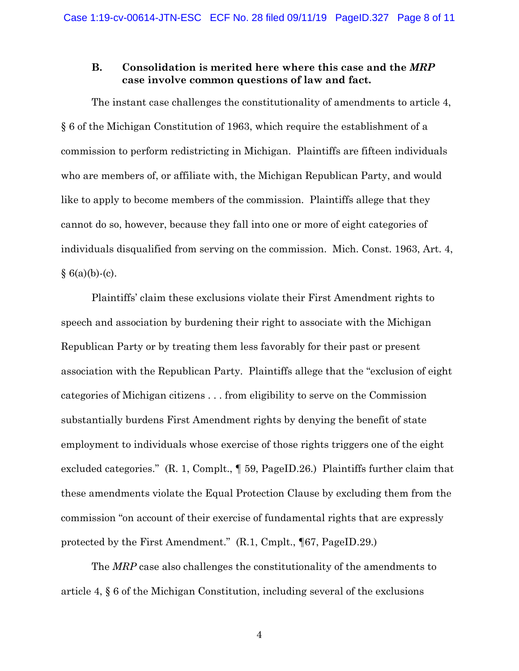#### **B. Consolidation is merited here where this case and the** *MRP* **case involve common questions of law and fact.**

The instant case challenges the constitutionality of amendments to article 4, § 6 of the Michigan Constitution of 1963, which require the establishment of a commission to perform redistricting in Michigan. Plaintiffs are fifteen individuals who are members of, or affiliate with, the Michigan Republican Party, and would like to apply to become members of the commission. Plaintiffs allege that they cannot do so, however, because they fall into one or more of eight categories of individuals disqualified from serving on the commission. Mich. Const. 1963, Art. 4,  $§ 6(a)(b)-(c).$ 

Plaintiffs' claim these exclusions violate their First Amendment rights to speech and association by burdening their right to associate with the Michigan Republican Party or by treating them less favorably for their past or present association with the Republican Party. Plaintiffs allege that the "exclusion of eight categories of Michigan citizens . . . from eligibility to serve on the Commission substantially burdens First Amendment rights by denying the benefit of state employment to individuals whose exercise of those rights triggers one of the eight excluded categories." (R. 1, Complt., ¶ 59, PageID.26.) Plaintiffs further claim that these amendments violate the Equal Protection Clause by excluding them from the commission "on account of their exercise of fundamental rights that are expressly protected by the First Amendment." (R.1, Cmplt., ¶67, PageID.29.)

The *MRP* case also challenges the constitutionality of the amendments to article 4, § 6 of the Michigan Constitution, including several of the exclusions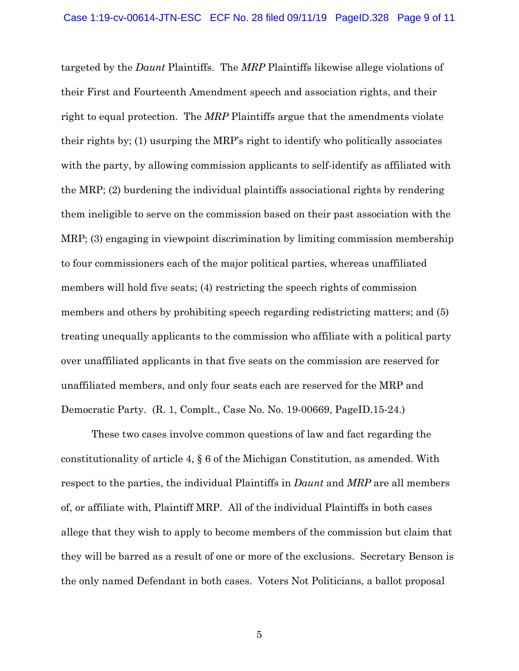targeted by the *Daunt* Plaintiffs. The *MRP* Plaintiffs likewise allege violations of their First and Fourteenth Amendment speech and association rights, and their right to equal protection. The *MRP* Plaintiffs argue that the amendments violate their rights by; (1) usurping the MRP's right to identify who politically associates with the party, by allowing commission applicants to self-identify as affiliated with the MRP; (2) burdening the individual plaintiffs associational rights by rendering them ineligible to serve on the commission based on their past association with the MRP; (3) engaging in viewpoint discrimination by limiting commission membership to four commissioners each of the major political parties, whereas unaffiliated members will hold five seats; (4) restricting the speech rights of commission members and others by prohibiting speech regarding redistricting matters; and (5) treating unequally applicants to the commission who affiliate with a political party over unaffiliated applicants in that five seats on the commission are reserved for unaffiliated members, and only four seats each are reserved for the MRP and Democratic Party. (R. 1, Complt., Case No. No. 19-00669, PageID.15-24.)

These two cases involve common questions of law and fact regarding the constitutionality of article 4, § 6 of the Michigan Constitution, as amended. With respect to the parties, the individual Plaintiffs in *Daunt* and *MRP* are all members of, or affiliate with, Plaintiff MRP. All of the individual Plaintiffs in both cases allege that they wish to apply to become members of the commission but claim that they will be barred as a result of one or more of the exclusions. Secretary Benson is the only named Defendant in both cases. Voters Not Politicians, a ballot proposal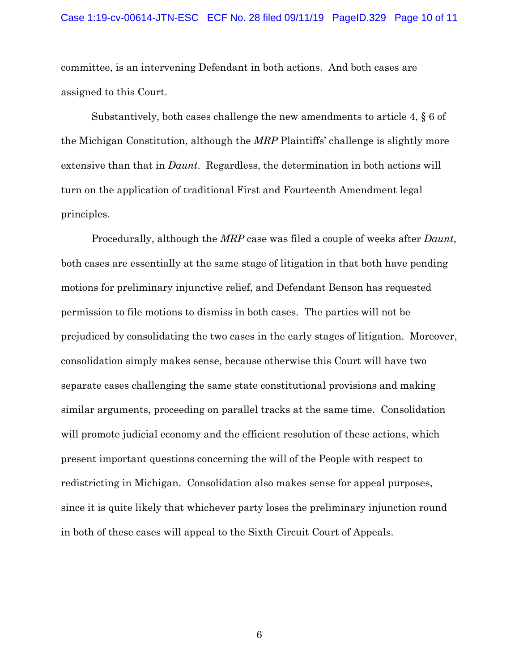#### Case 1:19-cv-00614-JTN-ESC ECF No. 28 filed 09/11/19 PageID.329 Page 10 of 11

committee, is an intervening Defendant in both actions. And both cases are assigned to this Court.

Substantively, both cases challenge the new amendments to article 4, § 6 of the Michigan Constitution, although the *MRP* Plaintiffs' challenge is slightly more extensive than that in *Daunt*. Regardless, the determination in both actions will turn on the application of traditional First and Fourteenth Amendment legal principles.

Procedurally, although the *MRP* case was filed a couple of weeks after *Daunt*, both cases are essentially at the same stage of litigation in that both have pending motions for preliminary injunctive relief, and Defendant Benson has requested permission to file motions to dismiss in both cases. The parties will not be prejudiced by consolidating the two cases in the early stages of litigation. Moreover, consolidation simply makes sense, because otherwise this Court will have two separate cases challenging the same state constitutional provisions and making similar arguments, proceeding on parallel tracks at the same time. Consolidation will promote judicial economy and the efficient resolution of these actions, which present important questions concerning the will of the People with respect to redistricting in Michigan. Consolidation also makes sense for appeal purposes, since it is quite likely that whichever party loses the preliminary injunction round in both of these cases will appeal to the Sixth Circuit Court of Appeals.